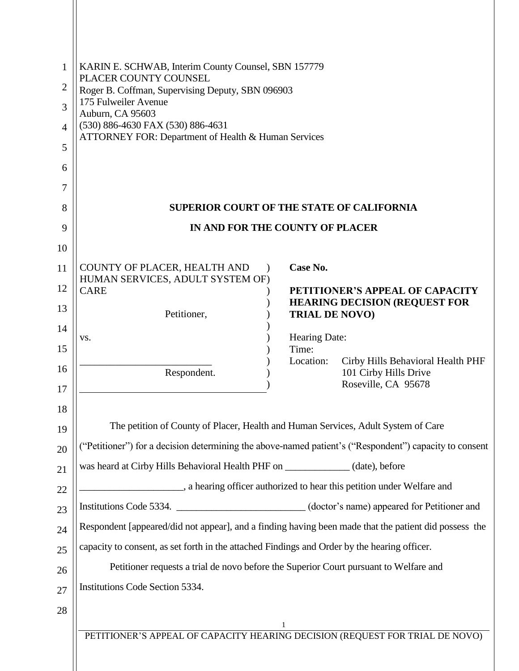| 1              | KARIN E. SCHWAB, Interim County Counsel, SBN 157779<br>PLACER COUNTY COUNSEL<br>Roger B. Coffman, Supervising Deputy, SBN 096903 |                                                                                   |  |
|----------------|----------------------------------------------------------------------------------------------------------------------------------|-----------------------------------------------------------------------------------|--|
| $\overline{2}$ |                                                                                                                                  |                                                                                   |  |
| 3              | 175 Fulweiler Avenue<br>Auburn, CA 95603                                                                                         |                                                                                   |  |
| $\overline{4}$ | (530) 886-4630 FAX (530) 886-4631                                                                                                |                                                                                   |  |
| 5              | ATTORNEY FOR: Department of Health & Human Services                                                                              |                                                                                   |  |
| 6              |                                                                                                                                  |                                                                                   |  |
| 7              |                                                                                                                                  |                                                                                   |  |
| 8              | <b>SUPERIOR COURT OF THE STATE OF CALIFORNIA</b>                                                                                 |                                                                                   |  |
| 9              | IN AND FOR THE COUNTY OF PLACER                                                                                                  |                                                                                   |  |
| 10             |                                                                                                                                  |                                                                                   |  |
| 11             | COUNTY OF PLACER, HEALTH AND<br>$\lambda$<br>HUMAN SERVICES, ADULT SYSTEM OF)                                                    | Case No.                                                                          |  |
| 12             | <b>CARE</b>                                                                                                                      | PETITIONER'S APPEAL OF CAPACITY<br><b>HEARING DECISION (REQUEST FOR</b>           |  |
| 13             | Petitioner,                                                                                                                      | <b>TRIAL DE NOVO)</b>                                                             |  |
| 14             | VS.                                                                                                                              | Hearing Date:                                                                     |  |
| 15             |                                                                                                                                  | Time:<br>Location:<br>Cirby Hills Behavioral Health PHF                           |  |
| 16             | Respondent.                                                                                                                      | 101 Cirby Hills Drive<br>Roseville, CA 95678                                      |  |
| 17             |                                                                                                                                  |                                                                                   |  |
| 18<br>19       | The petition of County of Placer, Health and Human Services, Adult System of Care                                                |                                                                                   |  |
| 20             | ("Petitioner") for a decision determining the above-named patient's ("Respondent") capacity to consent                           |                                                                                   |  |
| 21             | was heard at Cirby Hills Behavioral Health PHF on _____________(date), before                                                    |                                                                                   |  |
| 22             | a hearing officer authorized to hear this petition under Welfare and                                                             |                                                                                   |  |
| 23             | Institutions Code 5334. ________________________(doctor's name) appeared for Petitioner and                                      |                                                                                   |  |
| 24             | Respondent [appeared/did not appear], and a finding having been made that the patient did possess the                            |                                                                                   |  |
| 25             | capacity to consent, as set forth in the attached Findings and Order by the hearing officer.                                     |                                                                                   |  |
| 26             | Petitioner requests a trial de novo before the Superior Court pursuant to Welfare and                                            |                                                                                   |  |
| 27             | Institutions Code Section 5334.                                                                                                  |                                                                                   |  |
| 28             |                                                                                                                                  |                                                                                   |  |
|                |                                                                                                                                  | 1<br>PETITIONER'S APPEAL OF CAPACITY HEARING DECISION (REQUEST FOR TRIAL DE NOVO) |  |